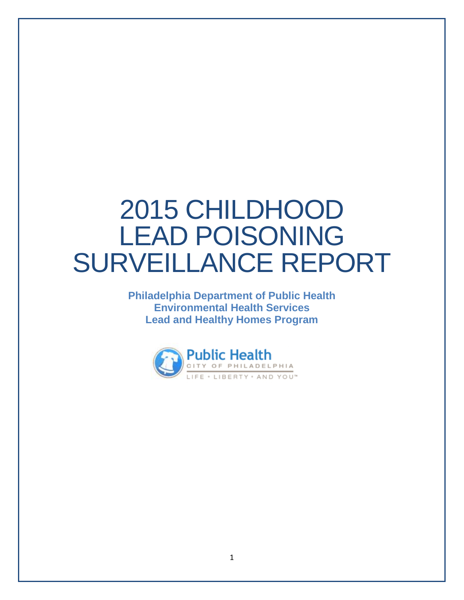# 2015 CHILDHOOD LEAD POISONING SURVEILLANCE REPORT

**Philadelphia Department of Public Health Environmental Health Services Lead and Healthy Homes Program**

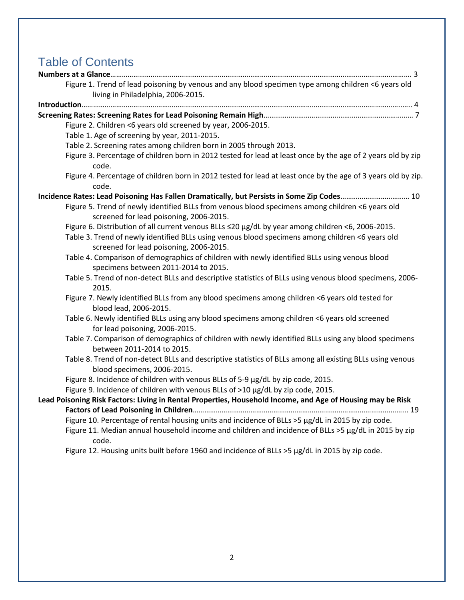## Table of Contents

| Figure 1. Trend of lead poisoning by venous and any blood specimen type among children <6 years old                                         |
|---------------------------------------------------------------------------------------------------------------------------------------------|
| living in Philadelphia, 2006-2015.                                                                                                          |
|                                                                                                                                             |
|                                                                                                                                             |
| Figure 2. Children <6 years old screened by year, 2006-2015.                                                                                |
| Table 1. Age of screening by year, 2011-2015.                                                                                               |
| Table 2. Screening rates among children born in 2005 through 2013.                                                                          |
| Figure 3. Percentage of children born in 2012 tested for lead at least once by the age of 2 years old by zip<br>code.                       |
| Figure 4. Percentage of children born in 2012 tested for lead at least once by the age of 3 years old by zip.<br>code.                      |
| Incidence Rates: Lead Poisoning Has Fallen Dramatically, but Persists in Some Zip Codes 10                                                  |
| Figure 5. Trend of newly identified BLLs from venous blood specimens among children <6 years old<br>screened for lead poisoning, 2006-2015. |
| Figure 6. Distribution of all current venous BLLs ≤20 µg/dL by year among children <6, 2006-2015.                                           |
| Table 3. Trend of newly identified BLLs using venous blood specimens among children <6 years old                                            |
| screened for lead poisoning, 2006-2015.                                                                                                     |
| Table 4. Comparison of demographics of children with newly identified BLLs using venous blood<br>specimens between 2011-2014 to 2015.       |
| Table 5. Trend of non-detect BLLs and descriptive statistics of BLLs using venous blood specimens, 2006-<br>2015.                           |
| Figure 7. Newly identified BLLs from any blood specimens among children <6 years old tested for<br>blood lead, 2006-2015.                   |
| Table 6. Newly identified BLLs using any blood specimens among children <6 years old screened<br>for lead poisoning, 2006-2015.             |
| Table 7. Comparison of demographics of children with newly identified BLLs using any blood specimens<br>between 2011-2014 to 2015.          |
| Table 8. Trend of non-detect BLLs and descriptive statistics of BLLs among all existing BLLs using venous<br>blood specimens, 2006-2015.    |
| Figure 8. Incidence of children with venous BLLs of 5-9 µg/dL by zip code, 2015.                                                            |
| Figure 9. Incidence of children with venous BLLs of >10 µg/dL by zip code, 2015.                                                            |
| Lead Poisoning Risk Factors: Living in Rental Properties, Household Income, and Age of Housing may be Risk                                  |
|                                                                                                                                             |
| Figure 10. Percentage of rental housing units and incidence of BLLs >5 µg/dL in 2015 by zip code.                                           |
| Figure 11. Median annual household income and children and incidence of BLLs >5 µg/dL in 2015 by zip<br>code.                               |
| Figure 12. Housing units built before 1960 and incidence of BLLs >5 µg/dL in 2015 by zip code.                                              |
|                                                                                                                                             |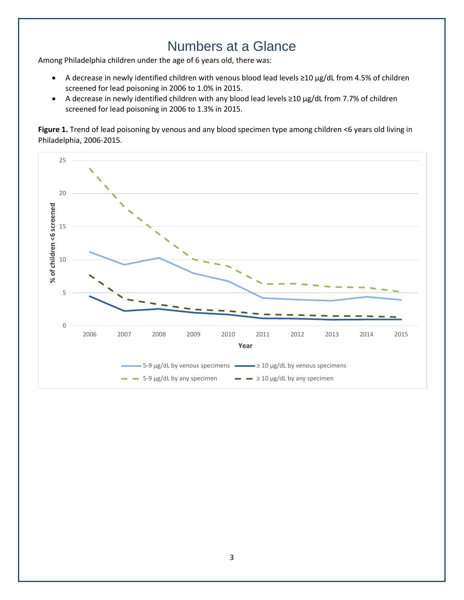## Numbers at a Glance

Among Philadelphia children under the age of 6 years old, there was:

- A decrease in newly identified children with venous blood lead levels ≥10 µg/dL from 4.5% of children screened for lead poisoning in 2006 to 1.0% in 2015.
- A decrease in newly identified children with any blood lead levels ≥10 µg/dL from 7.7% of children screened for lead poisoning in 2006 to 1.3% in 2015.

**Figure 1.** Trend of lead poisoning by venous and any blood specimen type among children <6 years old living in Philadelphia, 2006-2015.

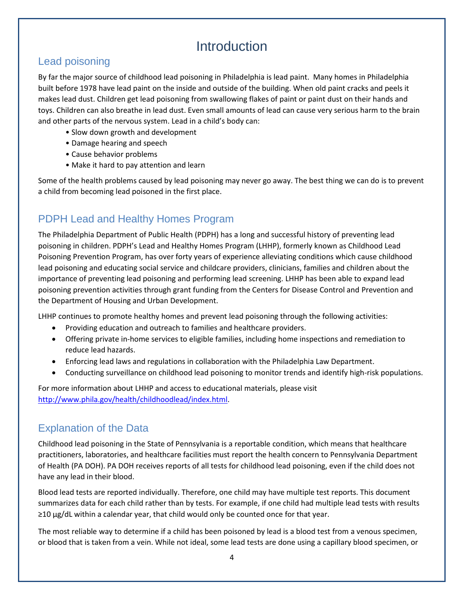## Introduction

#### Lead poisoning

By far the major source of childhood lead poisoning in Philadelphia is lead paint. Many homes in Philadelphia built before 1978 have lead paint on the inside and outside of the building. When old paint cracks and peels it makes lead dust. Children get lead poisoning from swallowing flakes of paint or paint dust on their hands and toys. Children can also breathe in lead dust. Even small amounts of lead can cause very serious harm to the brain and other parts of the nervous system. Lead in a child's body can:

- Slow down growth and development
- Damage hearing and speech
- Cause behavior problems
- Make it hard to pay attention and learn

Some of the health problems caused by lead poisoning may never go away. The best thing we can do is to prevent a child from becoming lead poisoned in the first place.

#### PDPH Lead and Healthy Homes Program

The Philadelphia Department of Public Health (PDPH) has a long and successful history of preventing lead poisoning in children. PDPH's Lead and Healthy Homes Program (LHHP), formerly known as Childhood Lead Poisoning Prevention Program, has over forty years of experience alleviating conditions which cause childhood lead poisoning and educating social service and childcare providers, clinicians, families and children about the importance of preventing lead poisoning and performing lead screening. LHHP has been able to expand lead poisoning prevention activities through grant funding from the Centers for Disease Control and Prevention and the Department of Housing and Urban Development.

LHHP continues to promote healthy homes and prevent lead poisoning through the following activities:

- Providing education and outreach to families and healthcare providers.
- Offering private in-home services to eligible families, including home inspections and remediation to reduce lead hazards.
- Enforcing lead laws and regulations in collaboration with the Philadelphia Law Department.
- Conducting surveillance on childhood lead poisoning to monitor trends and identify high-risk populations.

For more information about LHHP and access to educational materials, please visit [http://www.phila.gov/health/childhoodlead/index.html.](http://www.phila.gov/health/childhoodlead/index.html)

#### Explanation of the Data

Childhood lead poisoning in the State of Pennsylvania is a reportable condition, which means that healthcare practitioners, laboratories, and healthcare facilities must report the health concern to Pennsylvania Department of Health (PA DOH). PA DOH receives reports of all tests for childhood lead poisoning, even if the child does not have any lead in their blood.

Blood lead tests are reported individually. Therefore, one child may have multiple test reports. This document summarizes data for each child rather than by tests. For example, if one child had multiple lead tests with results ≥10 µg/dL within a calendar year, that child would only be counted once for that year.

The most reliable way to determine if a child has been poisoned by lead is a blood test from a venous specimen, or blood that is taken from a vein. While not ideal, some lead tests are done using a capillary blood specimen, or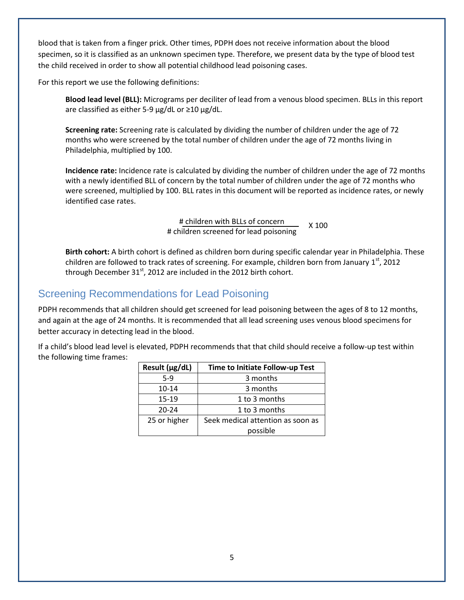blood that is taken from a finger prick. Other times, PDPH does not receive information about the blood specimen, so it is classified as an unknown specimen type. Therefore, we present data by the type of blood test the child received in order to show all potential childhood lead poisoning cases.

For this report we use the following definitions:

**Blood lead level (BLL):** Micrograms per deciliter of lead from a venous blood specimen. BLLs in this report are classified as either 5-9 µg/dL or ≥10 µg/dL.

**Screening rate:** Screening rate is calculated by dividing the number of children under the age of 72 months who were screened by the total number of children under the age of 72 months living in Philadelphia, multiplied by 100.

**Incidence rate:** Incidence rate is calculated by dividing the number of children under the age of 72 months with a newly identified BLL of concern by the total number of children under the age of 72 months who were screened, multiplied by 100. BLL rates in this document will be reported as incidence rates, or newly identified case rates.

> # children with BLLs of concern # children screened for lead poisoning X 100

**Birth cohort:** A birth cohort is defined as children born during specific calendar year in Philadelphia. These children are followed to track rates of screening. For example, children born from January 1<sup>st</sup>, 2012 through December  $31<sup>st</sup>$ , 2012 are included in the 2012 birth cohort.

#### Screening Recommendations for Lead Poisoning

PDPH recommends that all children should get screened for lead poisoning between the ages of 8 to 12 months, and again at the age of 24 months. It is recommended that all lead screening uses venous blood specimens for better accuracy in detecting lead in the blood.

If a child's blood lead level is elevated, PDPH recommends that that child should receive a follow-up test within the following time frames:

| Result (µg/dL) | Time to Initiate Follow-up Test   |  |
|----------------|-----------------------------------|--|
| $5-9$          | 3 months                          |  |
| $10 - 14$      | 3 months                          |  |
| $15 - 19$      | 1 to 3 months                     |  |
| $20 - 24$      | 1 to 3 months                     |  |
| 25 or higher   | Seek medical attention as soon as |  |
|                | possible                          |  |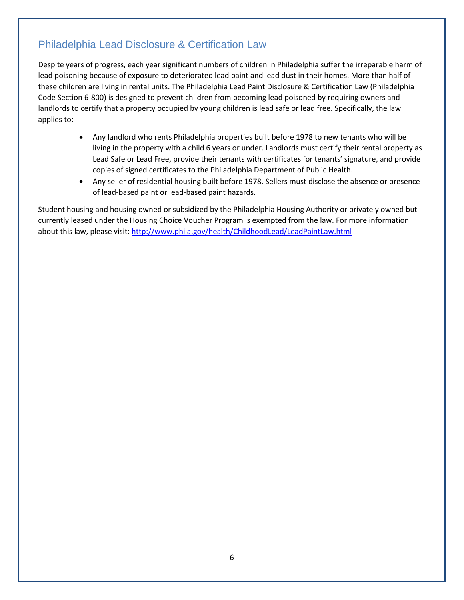#### Philadelphia Lead Disclosure & Certification Law

Despite years of progress, each year significant numbers of children in Philadelphia suffer the irreparable harm of lead poisoning because of exposure to deteriorated lead paint and lead dust in their homes. More than half of these children are living in rental units. The Philadelphia Lead Paint Disclosure & Certification Law (Philadelphia Code Section 6-800) is designed to prevent children from becoming lead poisoned by requiring owners and landlords to certify that a property occupied by young children is lead safe or lead free. Specifically, the law applies to:

- Any landlord who rents Philadelphia properties built before 1978 to new tenants who will be living in the property with a child 6 years or under. Landlords must certify their rental property as Lead Safe or Lead Free, provide their tenants with certificates for tenants' signature, and provide copies of signed certificates to the Philadelphia Department of Public Health.
- Any seller of residential housing built before 1978. Sellers must disclose the absence or presence of lead-based paint or lead-based paint hazards.

Student housing and housing owned or subsidized by the Philadelphia Housing Authority or privately owned but currently leased under the Housing Choice Voucher Program is exempted from the law. For more information about this law, please visit[: http://www.phila.gov/health/ChildhoodLead/LeadPaintLaw.html](http://www.phila.gov/health/ChildhoodLead/LeadPaintLaw.html)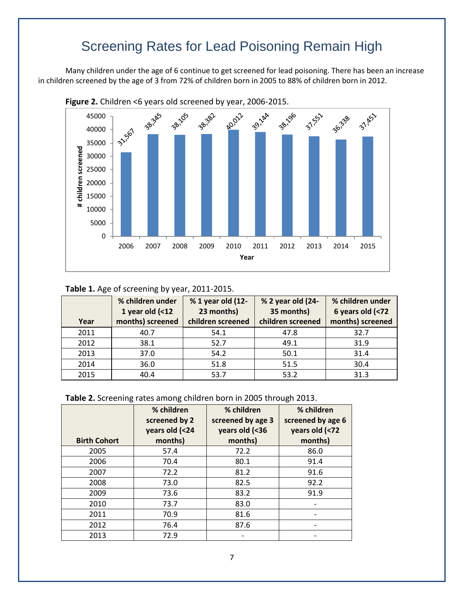# Screening Rates for Lead Poisoning Remain High

Many children under the age of 6 continue to get screened for lead poisoning. There has been an increase in children screened by the age of 3 from 72% of children born in 2005 to 88% of children born in 2012.



#### **Table 1.** Age of screening by year, 2011-2015.

| Year | % children under<br>1 year old $( < 12$<br>months) screened | % 1 year old (12-<br>23 months)<br>children screened | % 2 year old (24-<br>35 months)<br>children screened | % children under<br>6 years old (<72<br>months) screened |
|------|-------------------------------------------------------------|------------------------------------------------------|------------------------------------------------------|----------------------------------------------------------|
| 2011 | 40.7                                                        | 54.1                                                 | 47.8                                                 | 32.7                                                     |
| 2012 | 38.1                                                        | 52.7                                                 | 49.1                                                 | 31.9                                                     |
| 2013 | 37.0                                                        | 54.2                                                 | 50.1                                                 | 31.4                                                     |
| 2014 | 36.0                                                        | 51.8                                                 | 51.5                                                 | 30.4                                                     |
| 2015 | 40.4                                                        | 53.7                                                 | 53.2                                                 | 31.3                                                     |

|  |  | Table 2. Screening rates among children born in 2005 through 2013. |
|--|--|--------------------------------------------------------------------|
|--|--|--------------------------------------------------------------------|

| <b>Birth Cohort</b> | % children<br>screened by 2<br>years old (<24<br>months) | % children<br>screened by age 3<br>years old (<36<br>months) | % children<br>screened by age 6<br>years old (<72<br>months) |
|---------------------|----------------------------------------------------------|--------------------------------------------------------------|--------------------------------------------------------------|
| 2005                | 57.4                                                     | 72.2                                                         | 86.0                                                         |
| 2006                | 70.4                                                     | 80.1                                                         | 91.4                                                         |
| 2007                | 72.2                                                     | 81.2                                                         | 91.6                                                         |
| 2008                | 73.0                                                     | 82.5                                                         | 92.2                                                         |
| 2009                | 73.6                                                     | 83.2                                                         | 91.9                                                         |
| 2010                | 73.7                                                     | 83.0                                                         |                                                              |
| 2011                | 70.9                                                     | 81.6                                                         |                                                              |
| 2012                | 76.4                                                     | 87.6                                                         |                                                              |
| 2013                | 72.9                                                     |                                                              |                                                              |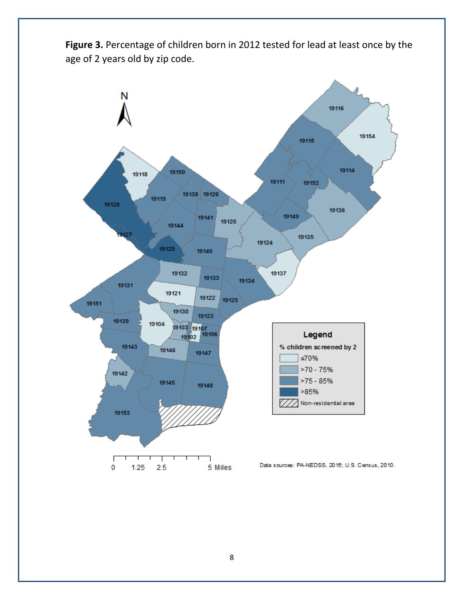Figure 3. Percentage of children born in 2012 tested for lead at least once by the age of 2 years old by zip code.

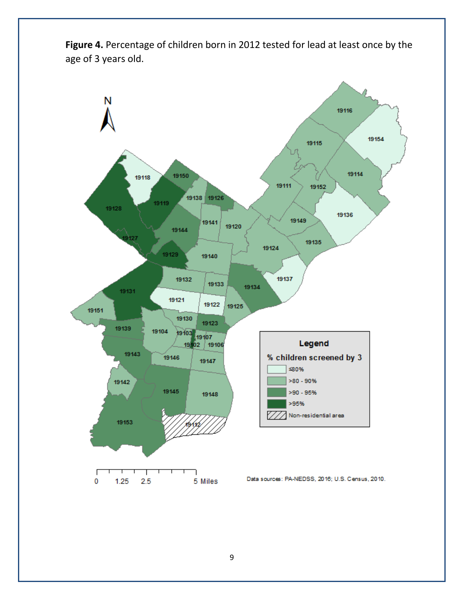Figure 4. Percentage of children born in 2012 tested for lead at least once by the age of 3 years old.

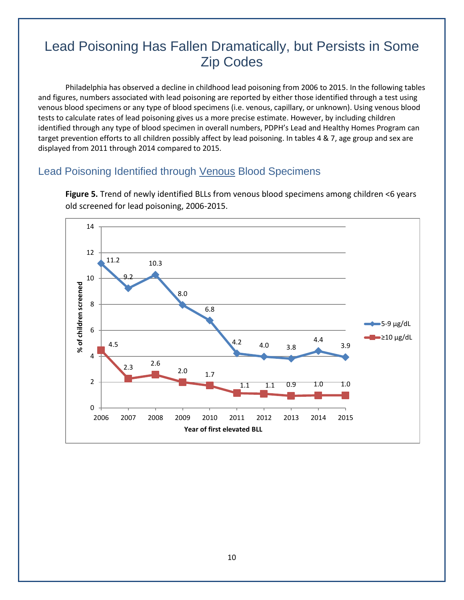## Lead Poisoning Has Fallen Dramatically, but Persists in Some Zip Codes

Philadelphia has observed a decline in childhood lead poisoning from 2006 to 2015. In the following tables and figures, numbers associated with lead poisoning are reported by either those identified through a test using venous blood specimens or any type of blood specimens (i.e. venous, capillary, or unknown). Using venous blood tests to calculate rates of lead poisoning gives us a more precise estimate. However, by including children identified through any type of blood specimen in overall numbers, PDPH's Lead and Healthy Homes Program can target prevention efforts to all children possibly affect by lead poisoning. In tables 4 & 7, age group and sex are displayed from 2011 through 2014 compared to 2015.

#### Lead Poisoning Identified through Venous Blood Specimens



**Figure 5.** Trend of newly identified BLLs from venous blood specimens among children <6 years old screened for lead poisoning, 2006-2015.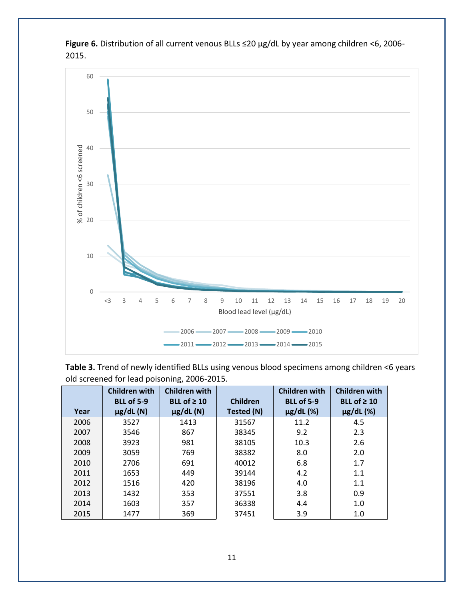

**Figure 6.** Distribution of all current venous BLLs ≤20 µg/dL by year among children <6, 2006- 2015.

**Table 3.** Trend of newly identified BLLs using venous blood specimens among children <6 years old screened for lead poisoning, 2006-2015.

|      | <b>Children with</b><br><b>BLL of 5-9</b> | <b>Children with</b><br>BLL of $\geq 10$ | <b>Children</b> | <b>Children with</b><br><b>BLL of 5-9</b> | <b>Children with</b><br>BLL of $\geq 10$ |
|------|-------------------------------------------|------------------------------------------|-----------------|-------------------------------------------|------------------------------------------|
| Year | $\mu$ g/dL $(N)$                          | $\mu$ g/dL $(N)$                         | Tested (N)      | $\mu$ g/dL $(%)$                          | $\mu$ g/dL $(%)$                         |
| 2006 | 3527                                      | 1413                                     | 31567           | 11.2                                      | 4.5                                      |
| 2007 | 3546                                      | 867                                      | 38345           | 9.2                                       | 2.3                                      |
| 2008 | 3923                                      | 981                                      | 38105           | 10.3                                      | 2.6                                      |
| 2009 | 3059                                      | 769                                      | 38382           | 8.0                                       | 2.0                                      |
| 2010 | 2706                                      | 691                                      | 40012           | 6.8                                       | 1.7                                      |
| 2011 | 1653                                      | 449                                      | 39144           | 4.2                                       | 1.1                                      |
| 2012 | 1516                                      | 420                                      | 38196           | 4.0                                       | 1.1                                      |
| 2013 | 1432                                      | 353                                      | 37551           | 3.8                                       | 0.9                                      |
| 2014 | 1603                                      | 357                                      | 36338           | 4.4                                       | 1.0                                      |
| 2015 | 1477                                      | 369                                      | 37451           | 3.9                                       | 1.0                                      |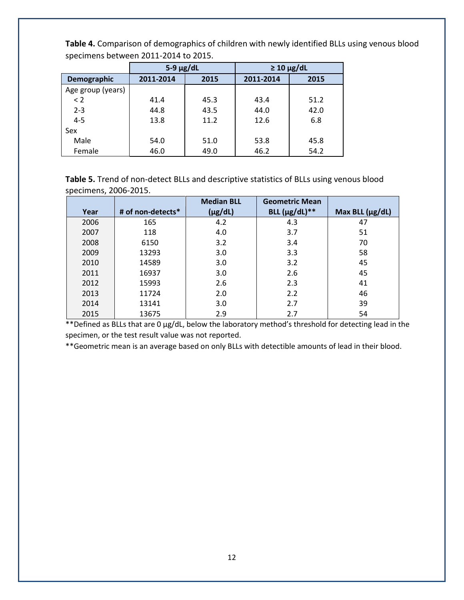|                   | $5-9 \mu g/dL$ |      | $\geq 10 \mu g/dL$ |      |
|-------------------|----------------|------|--------------------|------|
| Demographic       | 2011-2014      | 2015 | 2011-2014          | 2015 |
| Age group (years) |                |      |                    |      |
| < 2               | 41.4           | 45.3 | 43.4               | 51.2 |
| $2 - 3$           | 44.8           | 43.5 | 44.0               | 42.0 |
| $4 - 5$           | 13.8           | 11.2 | 12.6               | 6.8  |
| Sex               |                |      |                    |      |
| Male              | 54.0           | 51.0 | 53.8               | 45.8 |
| Female            | 46.0           | 49.0 | 46.2               | 54.2 |

**Table 4.** Comparison of demographics of children with newly identified BLLs using venous blood specimens between 2011-2014 to 2015.

**Table 5.** Trend of non-detect BLLs and descriptive statistics of BLLs using venous blood specimens, 2006-2015.

|      |                   | <b>Median BLL</b> | <b>Geometric Mean</b> |                      |
|------|-------------------|-------------------|-----------------------|----------------------|
| Year | # of non-detects* | $(\mu g/dL)$      | BLL $(\mu g/dL)$ **   | Max BLL $(\mu g/dL)$ |
| 2006 | 165               | 4.2               | 4.3                   | 47                   |
| 2007 | 118               | 4.0               | 3.7                   | 51                   |
| 2008 | 6150              | 3.2               | 3.4                   | 70                   |
| 2009 | 13293             | 3.0               | 3.3                   | 58                   |
| 2010 | 14589             | 3.0               | 3.2                   | 45                   |
| 2011 | 16937             | 3.0               | 2.6                   | 45                   |
| 2012 | 15993             | 2.6               | 2.3                   | 41                   |
| 2013 | 11724             | 2.0               | 2.2                   | 46                   |
| 2014 | 13141             | 3.0               | 2.7                   | 39                   |
| 2015 | 13675             | 2.9               | 2.7                   | 54                   |

\*\*Defined as BLLs that are 0 µg/dL, below the laboratory method's threshold for detecting lead in the specimen, or the test result value was not reported.

\*\*Geometric mean is an average based on only BLLs with detectible amounts of lead in their blood.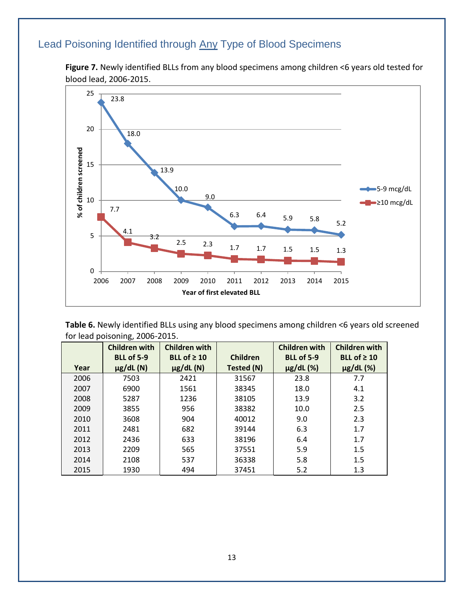## Lead Poisoning Identified through Any Type of Blood Specimens

**Figure 7.** Newly identified BLLs from any blood specimens among children <6 years old tested for blood lead, 2006-2015.



**Table 6.** Newly identified BLLs using any blood specimens among children <6 years old screened for lead poisoning, 2006-2015.

|      | <b>Children with</b><br><b>BLL of 5-9</b> | <b>Children with</b><br>BLL of $\geq 10$ | <b>Children</b> | <b>Children with</b><br><b>BLL of 5-9</b> | <b>Children with</b><br>BLL of $\geq 10$ |
|------|-------------------------------------------|------------------------------------------|-----------------|-------------------------------------------|------------------------------------------|
| Year | $\mu$ g/dL $(N)$                          | $\mu$ g/dL $(N)$                         | Tested (N)      | $\mu$ g/dL $(%)$                          | $\mu$ g/dL $(%)$                         |
| 2006 | 7503                                      | 2421                                     | 31567           | 23.8                                      | 7.7                                      |
| 2007 | 6900                                      | 1561                                     | 38345           | 18.0                                      | 4.1                                      |
| 2008 | 5287                                      | 1236                                     | 38105           | 13.9                                      | 3.2                                      |
| 2009 | 3855                                      | 956                                      | 38382           | 10.0                                      | 2.5                                      |
| 2010 | 3608                                      | 904                                      | 40012           | 9.0                                       | 2.3                                      |
| 2011 | 2481                                      | 682                                      | 39144           | 6.3                                       | 1.7                                      |
| 2012 | 2436                                      | 633                                      | 38196           | 6.4                                       | 1.7                                      |
| 2013 | 2209                                      | 565                                      | 37551           | 5.9                                       | 1.5                                      |
| 2014 | 2108                                      | 537                                      | 36338           | 5.8                                       | 1.5                                      |
| 2015 | 1930                                      | 494                                      | 37451           | 5.2                                       | 1.3                                      |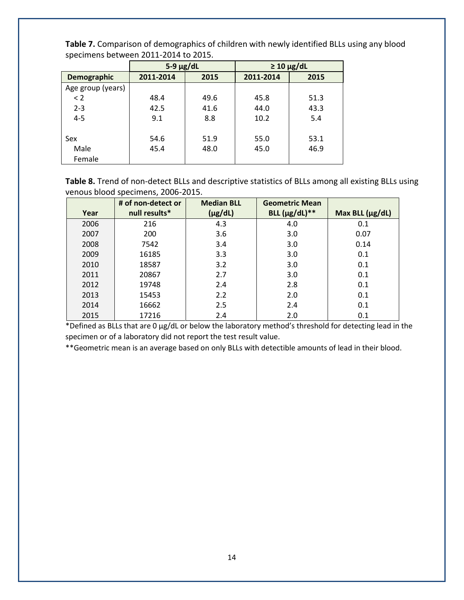|                    | $5-9 \mu g/dL$ |      |           | $\geq 10 \mu g/dL$ |
|--------------------|----------------|------|-----------|--------------------|
| <b>Demographic</b> | 2011-2014      | 2015 | 2011-2014 | 2015               |
| Age group (years)  |                |      |           |                    |
| < 2                | 48.4           | 49.6 | 45.8      | 51.3               |
| $2 - 3$            | 42.5           | 41.6 | 44.0      | 43.3               |
| $4 - 5$            | 9.1            | 8.8  | 10.2      | 5.4                |
|                    |                |      |           |                    |
| Sex                | 54.6           | 51.9 | 55.0      | 53.1               |
| Male               | 45.4           | 48.0 | 45.0      | 46.9               |
| Female             |                |      |           |                    |

**Table 7.** Comparison of demographics of children with newly identified BLLs using any blood specimens between 2011-2014 to 2015.

**Table 8.** Trend of non-detect BLLs and descriptive statistics of BLLs among all existing BLLs using venous blood specimens, 2006-2015.

|      | # of non-detect or | <b>Median BLL</b> | <b>Geometric Mean</b> |                      |
|------|--------------------|-------------------|-----------------------|----------------------|
| Year | null results*      | $(\mu g/dL)$      | BLL $(\mu g/dL)$ **   | Max BLL $(\mu g/dL)$ |
| 2006 | 216                | 4.3               | 4.0                   | 0.1                  |
| 2007 | 200                | 3.6               | 3.0                   | 0.07                 |
| 2008 | 7542               | 3.4               | 3.0                   | 0.14                 |
| 2009 | 16185              | 3.3               | 3.0                   | 0.1                  |
| 2010 | 18587              | 3.2               | 3.0                   | 0.1                  |
| 2011 | 20867              | 2.7               | 3.0                   | 0.1                  |
| 2012 | 19748              | 2.4               | 2.8                   | 0.1                  |
| 2013 | 15453              | 2.2               | 2.0                   | 0.1                  |
| 2014 | 16662              | 2.5               | 2.4                   | 0.1                  |
| 2015 | 17216              | 2.4               | 2.0                   | 0.1                  |

\*Defined as BLLs that are 0 µg/dL or below the laboratory method's threshold for detecting lead in the specimen or of a laboratory did not report the test result value.

\*\*Geometric mean is an average based on only BLLs with detectible amounts of lead in their blood.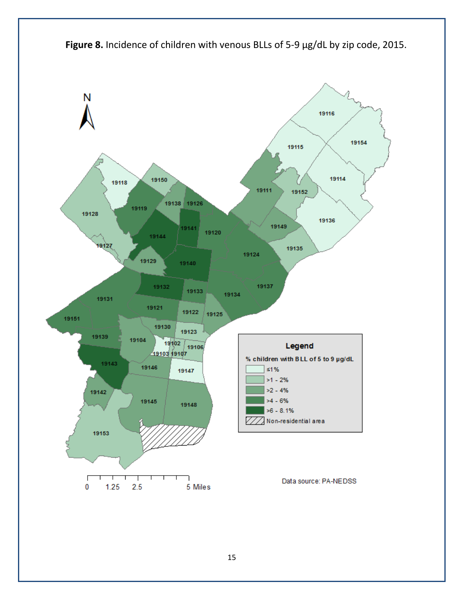

Figure 8. Incidence of children with venous BLLs of 5-9 µg/dL by zip code, 2015.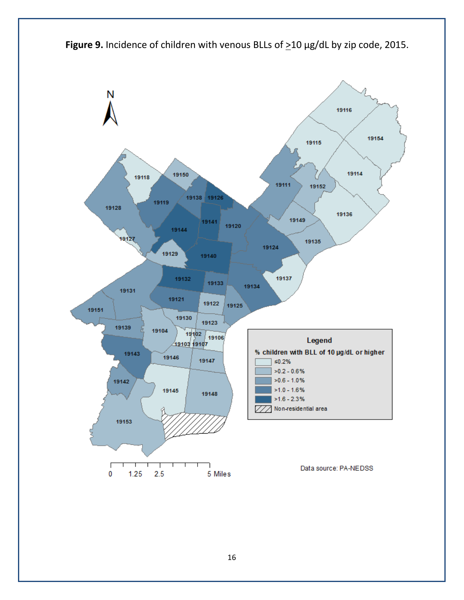

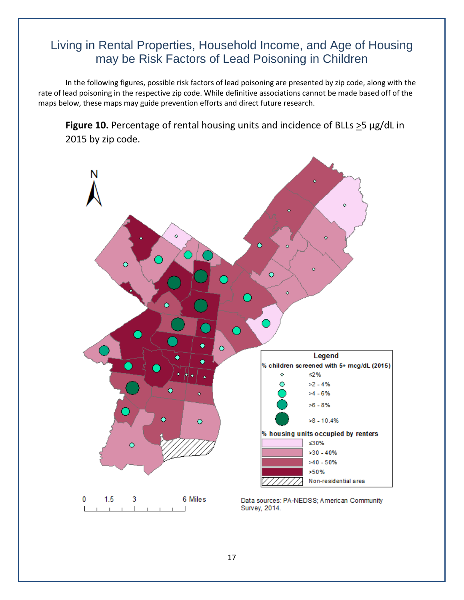### Living in Rental Properties, Household Income, and Age of Housing may be Risk Factors of Lead Poisoning in Children

In the following figures, possible risk factors of lead poisoning are presented by zip code, along with the rate of lead poisoning in the respective zip code. While definitive associations cannot be made based off of the maps below, these maps may guide prevention efforts and direct future research.

**Figure 10.** Percentage of rental housing units and incidence of BLLs >5 µg/dL in 2015 by zip code.

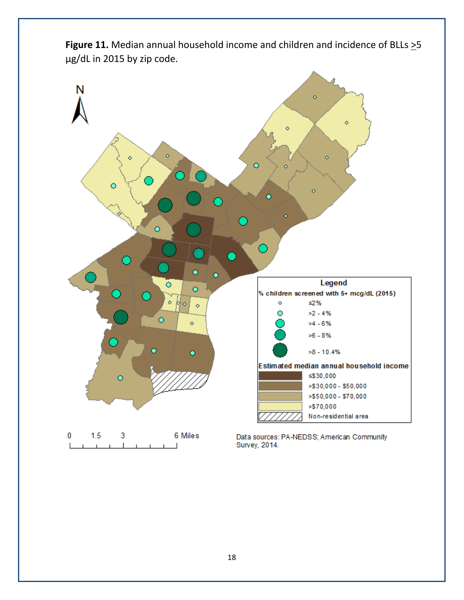

Figure 11. Median annual household income and children and incidence of BLLs  $\geq$ 5 µg/dL in 2015 by zip code.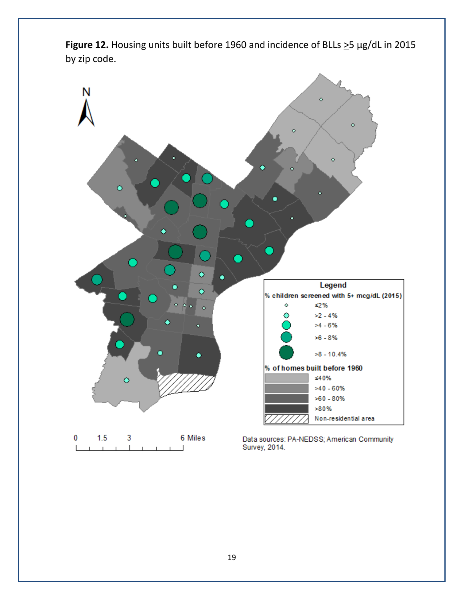

Figure 12. Housing units built before 1960 and incidence of BLLs  $\geq$ 5 µg/dL in 2015 by zip code.